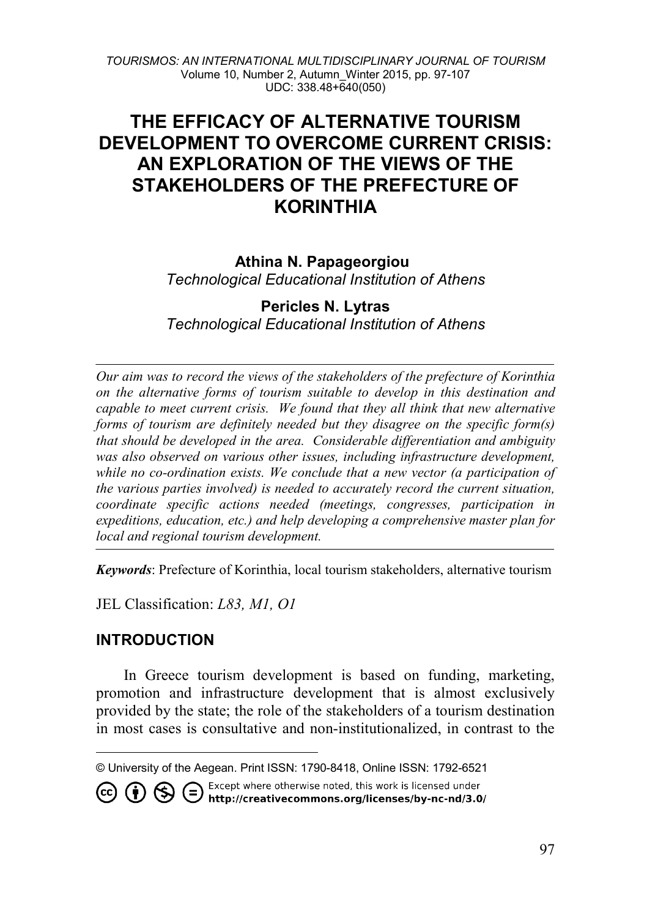*TOURISMOS: AN INTERNATIONAL MULTIDISCIPLINARY JOURNAL OF TOURISM* Volume 10, Number 2, Autumn\_Winter 2015, pp. 97-107 UDC: 338.48+640(050)

# **THE EFFICACY OF ALTERNATIVE TOURISM DEVELOPMENT TO OVERCOME CURRENT CRISIS: AN EXPLORATION OF THE VIEWS OF THE STAKEHOLDERS OF THE PREFECTURE OF KORINTHIA**

# **Athina N. Papageorgiou**

*Technological Educational Institution of Athens* 

#### **Pericles N. Lytras** *Technological Educational Institution of Athens*

*Our aim was to record the views of the stakeholders of the prefecture of Korinthia on the alternative forms of tourism suitable to develop in this destination and capable to meet current crisis. We found that they all think that new alternative forms of tourism are definitely needed but they disagree on the specific form(s) that should be developed in the area. Considerable differentiation and ambiguity was also observed on various other issues, including infrastructure development, while no co-ordination exists. We conclude that a new vector (a participation of the various parties involved) is needed to accurately record the current situation, coordinate specific actions needed (meetings, congresses, participation in expeditions, education, etc.) and help developing a comprehensive master plan for local and regional tourism development.* 

*Keywords*: Prefecture of Korinthia, local tourism stakeholders, alternative tourism

JEL Classification: *L83, M1, O1*

# **INTRODUCTION**

 $\overline{a}$ 

In Greece tourism development is based on funding, marketing, promotion and infrastructure development that is almost exclusively provided by the state; the role of the stakeholders of a tourism destination in most cases is consultative and non-institutionalized, in contrast to the

Except where otherwise noted, this work is licensed under

CO CO S Except where otherwise noted, this work is licensed under<br>http://creativecommons.org/licenses/by-nc-nd/3.0/

<span id="page-0-0"></span><sup>©</sup> University of the Aegean. Print ISSN: 1790-8418, Online ISSN: 1792-6521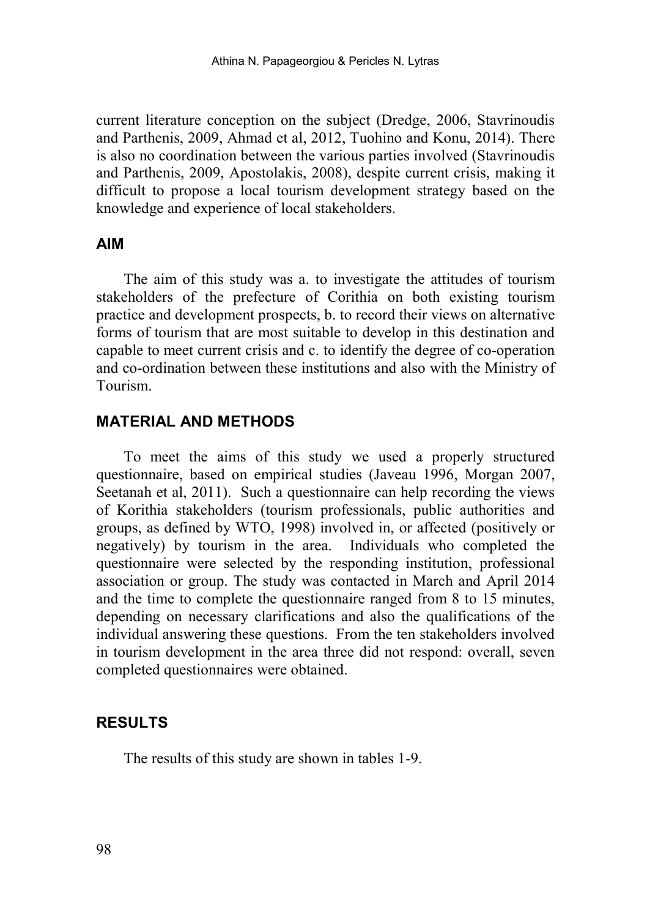current literature conception on the subject (Dredge, 2006, Stavrinoudis and Parthenis, 2009, Ahmad et al, 2012, Tuohino and Konu, 2014). There is also no coordination between the various parties involved (Stavrinoudis and Parthenis, 2009, Apostolakis, 2008), despite current crisis, making it difficult to propose a local tourism development strategy based on the knowledge and experience of local stakeholders.

#### **AIM**

The aim of this study was a. to investigate the attitudes of tourism stakeholders of the prefecture of Corithia on both existing tourism practice and development prospects, b. to record their views on alternative forms of tourism that are most suitable to develop in this destination and capable to meet current crisis and c. to identify the degree of co-operation and co-ordination between these institutions and also with the Ministry of Tourism.

### **MATERIAL AND METHODS**

To meet the aims of this study we used a properly structured questionnaire, based on empirical studies [\(Javeau 1](http://www.politeianet.gr/sygrafeas/javeau-claude-10483)996, Morgan 2007, Seetanah et al, 2011). Such a questionnaire can help recording the views of Korithia stakeholders (tourism professionals, public authorities and groups, as defined by WTO, 1998) involved in, or affected (positively or negatively) by tourism in the area. Individuals who completed the questionnaire were selected by the responding institution, professional association or group. The study was contacted in March and April 2014 and the time to complete the questionnaire ranged from 8 to 15 minutes, depending on necessary clarifications and also the qualifications of the individual answering these questions. From the ten stakeholders involved in tourism development in the area three did not respond: overall, seven completed questionnaires were obtained.

### **RESULTS**

The results of this study are shown in tables 1-9.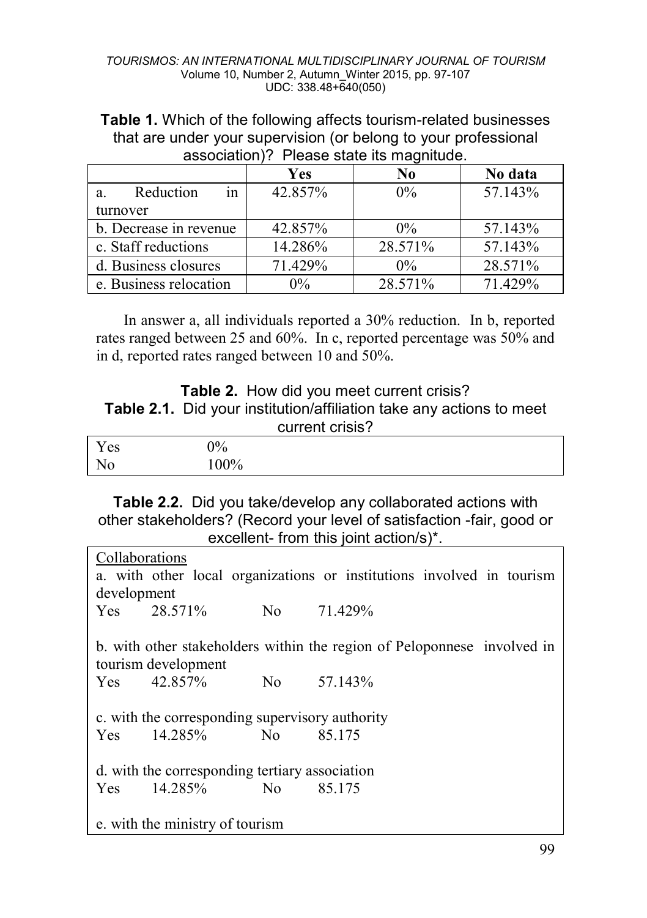**Table 1.** Which of the following affects tourism-related businesses that are under your supervision (or belong to your professional association)? Please state its magnitude.

|                        | Yes     | No      | No data |
|------------------------|---------|---------|---------|
| in<br>Reduction<br>a.  | 42.857% | $0\%$   | 57.143% |
| turnover               |         |         |         |
| b. Decrease in revenue | 42.857% | $0\%$   | 57.143% |
| c. Staff reductions    | 14.286% | 28.571% | 57.143% |
| d. Business closures   | 71.429% | $0\%$   | 28.571% |
| e. Business relocation | $0\%$   | 28.571% | 71.429% |

In answer a, all individuals reported a 30% reduction. In b, reported rates ranged between 25 and 60%. In c, reported percentage was 50% and in d, reported rates ranged between 10 and 50%.

# **Table 2.** How did you meet current crisis? **Table 2.1.** Did your institution/affiliation take any actions to meet current crisis?

| Y es | $0\%$  |
|------|--------|
| No   | $00\%$ |

**Table 2.2.** Did you take/develop any collaborated actions with other stakeholders? (Record your level of satisfaction -fair, good or excellent- from this joint action/s)\*.

| Collaborations |                                                 |                                                                         |
|----------------|-------------------------------------------------|-------------------------------------------------------------------------|
|                |                                                 | a. with other local organizations or institutions involved in tourism   |
| development    |                                                 |                                                                         |
|                | Yes 28.571%                                     | No 71.429%                                                              |
|                |                                                 |                                                                         |
|                |                                                 | b. with other stakeholders within the region of Peloponnese involved in |
|                | tourism development                             |                                                                         |
|                | $Yes \t 42.857\% \t No$                         | 57.143%                                                                 |
|                |                                                 |                                                                         |
|                | c. with the corresponding supervisory authority |                                                                         |
|                | $Yes \t14.285\% \tNo$                           | 85.175                                                                  |
|                |                                                 |                                                                         |
|                | d. with the corresponding tertiary association  |                                                                         |
|                | $Yes \t14.285\% \tNo$                           | 85.175                                                                  |
|                |                                                 |                                                                         |
|                | e. with the ministry of tourism                 |                                                                         |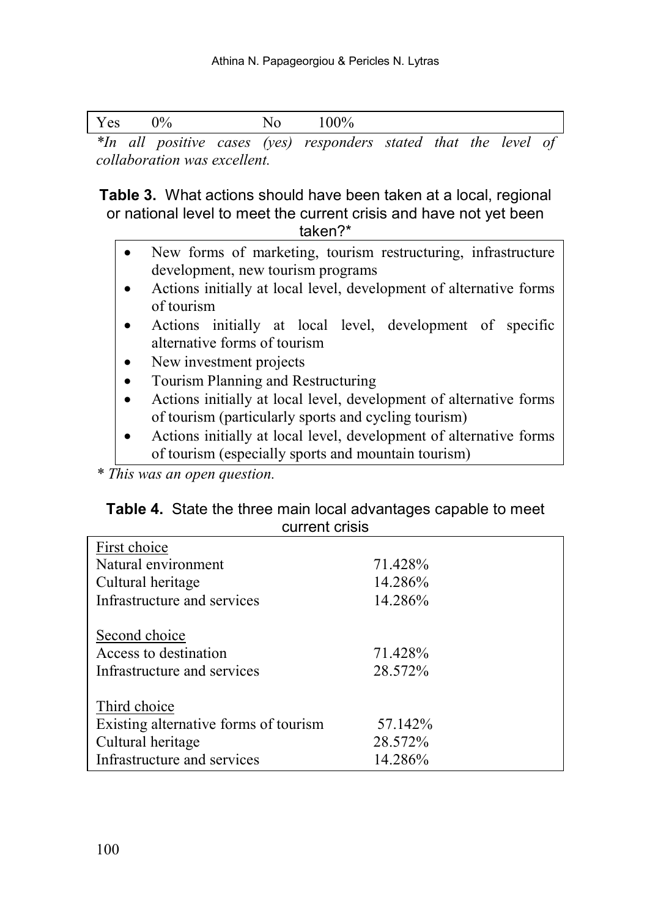| ິ<br>$ -$ | ٦Ω٠<br> | ∼ | v v |     |   |  |  |
|-----------|---------|---|-----|-----|---|--|--|
| <br>. .   |         |   |     | . . | . |  |  |

*\*In all positive cases (yes) responders stated that the level of collaboration was excellent.*

**Table 3.** What actions should have been taken at a local, regional or national level to meet the current crisis and have not yet been taken?\*

- New forms of marketing, tourism restructuring, infrastructure development, new tourism programs
- Actions initially at local level, development of alternative forms of tourism
- Actions initially at local level, development of specific alternative forms of tourism
- New investment projects
- Tourism Planning and Restructuring
- Actions initially at local level, development of alternative forms of tourism (particularly sports and cycling tourism)
- Actions initially at local level, development of alternative forms of tourism (especially sports and mountain tourism)

*\* This was an open question.* 

| Table 4. State the three main local advantages capable to meet |
|----------------------------------------------------------------|
| current crisis                                                 |

| First choice                          |         |
|---------------------------------------|---------|
| Natural environment                   | 71.428% |
| Cultural heritage                     | 14.286% |
| Infrastructure and services           | 14.286% |
|                                       |         |
| Second choice                         |         |
| Access to destination                 | 71.428% |
| Infrastructure and services           | 28.572% |
|                                       |         |
| Third choice                          |         |
| Existing alternative forms of tourism | 57.142% |
| Cultural heritage                     | 28.572% |
| Infrastructure and services           | 14.286% |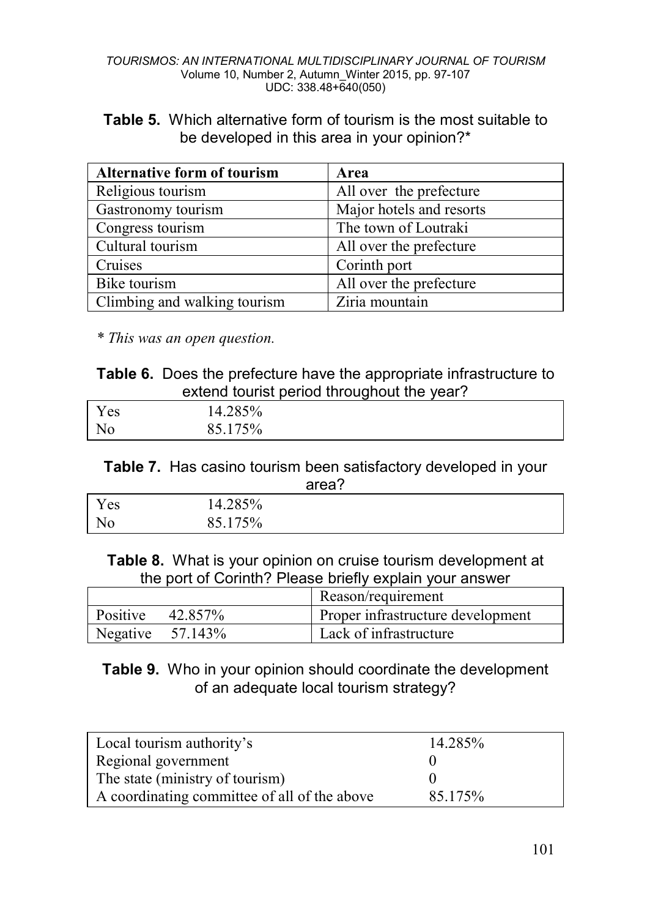#### *TOURISMOS: AN INTERNATIONAL MULTIDISCIPLINARY JOURNAL OF TOURISM* Volume 10, Number 2, Autumn\_Winter 2015, pp. 97-107 UDC: 338.48+640(050)

**Table 5.** Which alternative form of tourism is the most suitable to be developed in this area in your opinion?\*

| <b>Alternative form of tourism</b> | Area                     |
|------------------------------------|--------------------------|
| Religious tourism                  | All over the prefecture  |
| Gastronomy tourism                 | Major hotels and resorts |
| Congress tourism                   | The town of Loutraki     |
| Cultural tourism                   | All over the prefecture  |
| Cruises                            | Corinth port             |
| Bike tourism                       | All over the prefecture  |
| Climbing and walking tourism       | Ziria mountain           |

*\* This was an open question.*

| <b>Table 6.</b> Does the prefecture have the appropriate infrastructure to |  |
|----------------------------------------------------------------------------|--|
| extend tourist period throughout the year?                                 |  |

| $\mathbf{r}$<br>Y es  | 14.285% |  |
|-----------------------|---------|--|
| $N_{\Omega}$<br>1 N U | 85.175% |  |

**Table 7.** Has casino tourism been satisfactory developed in your area?

| Yes | 14.285% |  |
|-----|---------|--|
| No  | 85.175% |  |

**Table 8.** What is your opinion on cruise tourism development at the port of Corinth? Please briefly explain your answer

|                     | Reason/requirement                |
|---------------------|-----------------------------------|
| Positive $42.857\%$ | Proper infrastructure development |
| Negative $57.143\%$ | Lack of infrastructure            |

**Table 9.** Who in your opinion should coordinate the development of an adequate local tourism strategy?

| Local tourism authority's                    | 14.285% |
|----------------------------------------------|---------|
|                                              |         |
| Regional government                          |         |
|                                              |         |
| The state (ministry of tourism)              |         |
|                                              |         |
| A coordinating committee of all of the above | 85.175% |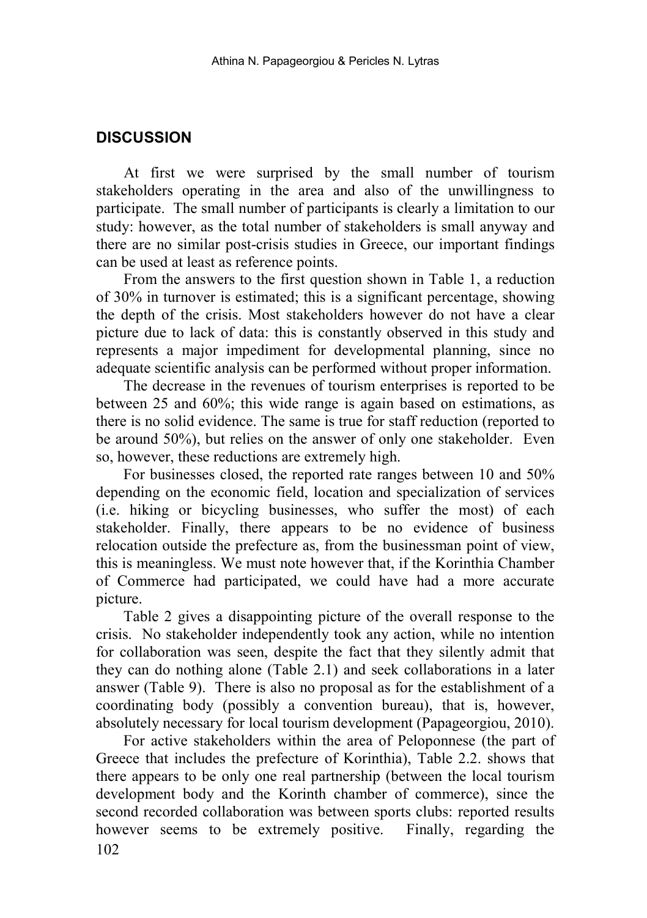# **DISCUSSION**

At first we were surprised by the small number of tourism stakeholders operating in the area and also of the unwillingness to participate. The small number of participants is clearly a limitation to our study: however, as the total number of stakeholders is small anyway and there are no similar post-crisis studies in Greece, our important findings can be used at least as reference points.

From the answers to the first question shown in Table 1, a reduction of 30% in turnover is estimated; this is a significant percentage, showing the depth of the crisis. Most stakeholders however do not have a clear picture due to lack of data: this is constantly observed in this study and represents a major impediment for developmental planning, since no adequate scientific analysis can be performed without proper information.

The decrease in the revenues of tourism enterprises is reported to be between 25 and 60%; this wide range is again based on estimations, as there is no solid evidence. The same is true for staff reduction (reported to be around 50%), but relies on the answer of only one stakeholder. Even so, however, these reductions are extremely high.

For businesses closed, the reported rate ranges between 10 and 50% depending on the economic field, location and specialization of services (i.e. hiking or bicycling businesses, who suffer the most) of each stakeholder. Finally, there appears to be no evidence of business relocation outside the prefecture as, from the businessman point of view, this is meaningless. We must note however that, if the Korinthia Chamber of Commerce had participated, we could have had a more accurate picture.

Table 2 gives a disappointing picture of the overall response to the crisis. No stakeholder independently took any action, while no intention for collaboration was seen, despite the fact that they silently admit that they can do nothing alone (Table 2.1) and seek collaborations in a later answer (Table 9). There is also no proposal as for the establishment of a coordinating body (possibly a convention bureau), that is, however, absolutely necessary for local tourism development (Papageorgiou, 2010).

102 For active stakeholders within the area of Peloponnese (the part of Greece that includes the prefecture of Korinthia), Table 2.2. shows that there appears to be only one real partnership (between the local tourism development body and the Korinth chamber of commerce), since the second recorded collaboration was between sports clubs: reported results however seems to be extremely positive. Finally, regarding the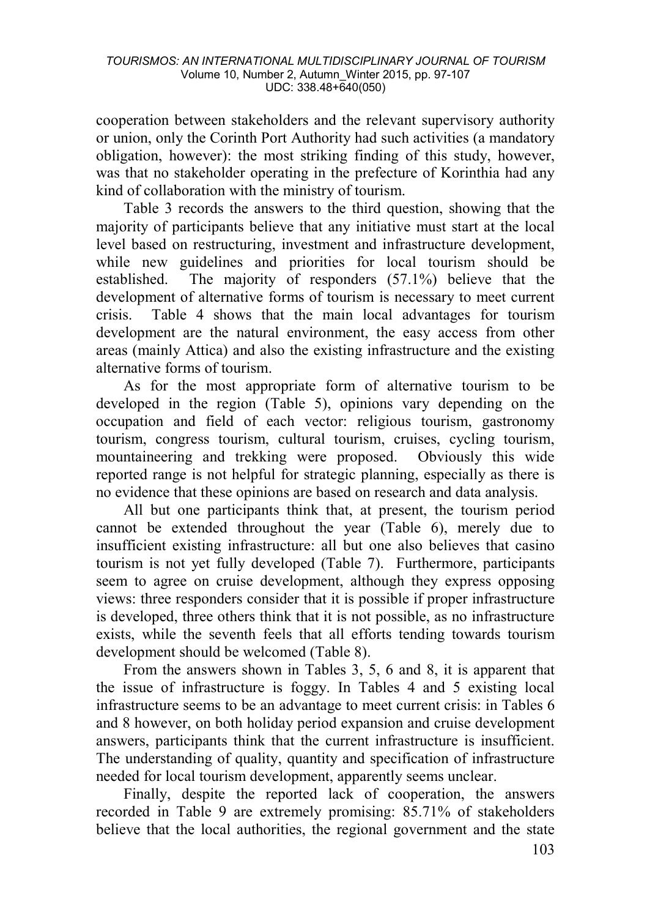cooperation between stakeholders and the relevant supervisory authority or union, only the Corinth Port Authority had such activities (a mandatory obligation, however): the most striking finding of this study, however, was that no stakeholder operating in the prefecture of Korinthia had any kind of collaboration with the ministry of tourism.

Table 3 records the answers to the third question, showing that the majority of participants believe that any initiative must start at the local level based on restructuring, investment and infrastructure development, while new guidelines and priorities for local tourism should be established. The majority of responders (57.1%) believe that the development of alternative forms of tourism is necessary to meet current crisis. Table 4 shows that the main local advantages for tourism development are the natural environment, the easy access from other areas (mainly Attica) and also the existing infrastructure and the existing alternative forms of tourism.

As for the most appropriate form of alternative tourism to be developed in the region (Table 5), opinions vary depending on the occupation and field of each vector: religious tourism, gastronomy tourism, congress tourism, cultural tourism, cruises, cycling tourism, mountaineering and trekking were proposed. Obviously this wide reported range is not helpful for strategic planning, especially as there is no evidence that these opinions are based on research and data analysis.

All but one participants think that, at present, the tourism period cannot be extended throughout the year (Table 6), merely due to insufficient existing infrastructure: all but one also believes that casino tourism is not yet fully developed (Table 7). Furthermore, participants seem to agree on cruise development, although they express opposing views: three responders consider that it is possible if proper infrastructure is developed, three others think that it is not possible, as no infrastructure exists, while the seventh feels that all efforts tending towards tourism development should be welcomed (Table 8).

From the answers shown in Tables 3, 5, 6 and 8, it is apparent that the issue of infrastructure is foggy. In Tables 4 and 5 existing local infrastructure seems to be an advantage to meet current crisis: in Tables 6 and 8 however, on both holiday period expansion and cruise development answers, participants think that the current infrastructure is insufficient. The understanding of quality, quantity and specification of infrastructure needed for local tourism development, apparently seems unclear.

Finally, despite the reported lack of cooperation, the answers recorded in Table 9 are extremely promising: 85.71% of stakeholders believe that the local authorities, the regional government and the state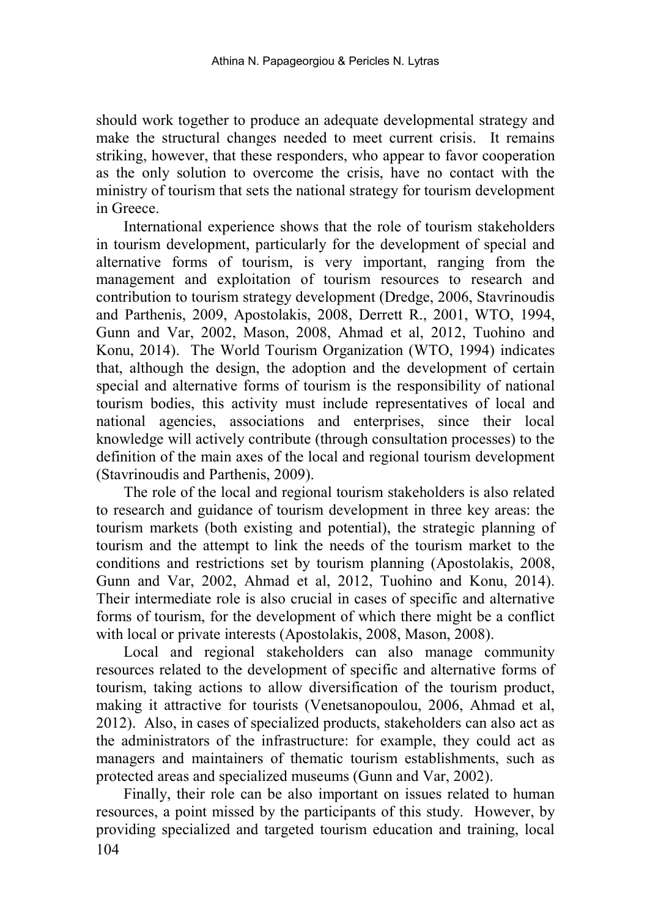should work together to produce an adequate developmental strategy and make the structural changes needed to meet current crisis. It remains striking, however, that these responders, who appear to favor cooperation as the only solution to overcome the crisis, have no contact with the ministry of tourism that sets the national strategy for tourism development in Greece.

International experience shows that the role of tourism stakeholders in tourism development, particularly for the development of special and alternative forms of tourism, is very important, ranging from the management and exploitation of tourism resources to research and contribution to tourism strategy development (Dredge, 2006, Stavrinoudis and Parthenis, 2009, Apostolakis, 2008, Derrett R., 2001, WΤΟ, 1994, Gunn and Var, 2002, Mason, 2008, Ahmad et al, 2012, Tuohino and Konu, 2014). The World Tourism Organization (WΤΟ, 1994) indicates that, although the design, the adoption and the development of certain special and alternative forms of tourism is the responsibility of national tourism bodies, this activity must include representatives of local and national agencies, associations and enterprises, since their local knowledge will actively contribute (through consultation processes) to the definition of the main axes of the local and regional tourism development (Stavrinoudis and Parthenis, 2009).

The role of the local and regional tourism stakeholders is also related to research and guidance of tourism development in three key areas: the tourism markets (both existing and potential), the strategic planning of tourism and the attempt to link the needs of the tourism market to the conditions and restrictions set by tourism planning (Apostolakis, 2008, Gunn and Var, 2002, Ahmad et al, 2012, Tuohino and Konu, 2014). Their intermediate role is also crucial in cases of specific and alternative forms of tourism, for the development of which there might be a conflict with local or private interests (Apostolakis, 2008, Mason, 2008).

Local and regional stakeholders can also manage community resources related to the development of specific and alternative forms of tourism, taking actions to allow diversification of the tourism product, making it attractive for tourists (Venetsanopoulou, 2006, Ahmad et al, 2012). Also, in cases of specialized products, stakeholders can also act as the administrators of the infrastructure: for example, they could act as managers and maintainers of thematic tourism establishments, such as protected areas and specialized museums (Gunn and Var, 2002).

104 Finally, their role can be also important on issues related to human resources, a point missed by the participants of this study. However, by providing specialized and targeted tourism education and training, local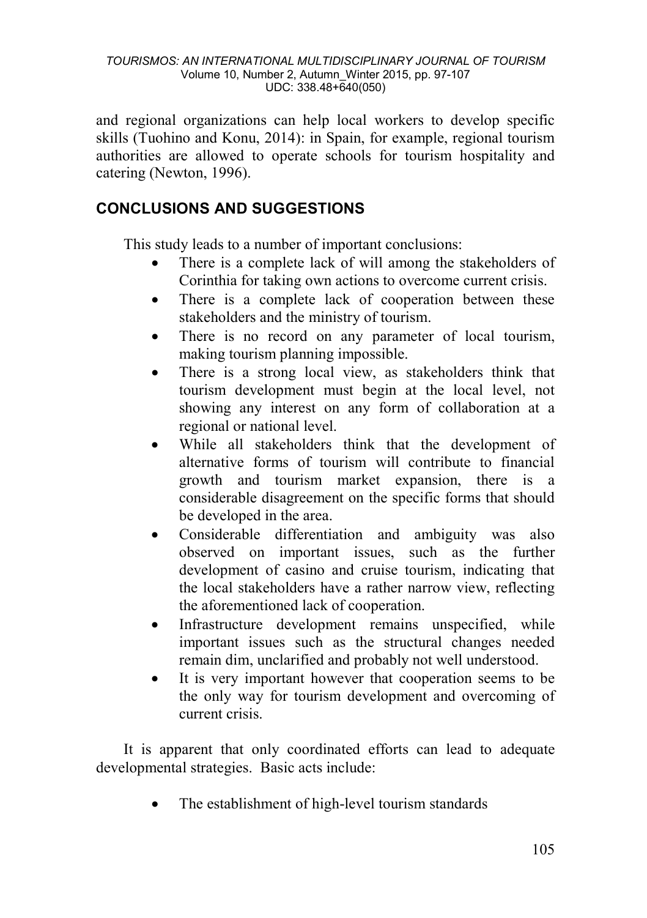and regional organizations can help local workers to develop specific skills (Tuohino and Konu, 2014): in Spain, for example, regional tourism authorities are allowed to operate schools for tourism hospitality and catering (Newton, 1996).

# **CONCLUSIONS AND SUGGESTIONS**

This study leads to a number of important conclusions:

- There is a complete lack of will among the stakeholders of Corinthia for taking own actions to overcome current crisis.
- There is a complete lack of cooperation between these stakeholders and the ministry of tourism.
- There is no record on any parameter of local tourism, making tourism planning impossible.
- There is a strong local view, as stakeholders think that tourism development must begin at the local level, not showing any interest on any form of collaboration at a regional or national level.
- While all stakeholders think that the development of alternative forms of tourism will contribute to financial growth and tourism market expansion, there is a considerable disagreement on the specific forms that should be developed in the area.
- Considerable differentiation and ambiguity was also observed on important issues, such as the further development of casino and cruise tourism, indicating that the local stakeholders have a rather narrow view, reflecting the aforementioned lack of cooperation.
- Infrastructure development remains unspecified, while important issues such as the structural changes needed remain dim, unclarified and probably not well understood.
- It is very important however that cooperation seems to be the only way for tourism development and overcoming of current crisis.

It is apparent that only coordinated efforts can lead to adequate developmental strategies. Basic acts include:

The establishment of high-level tourism standards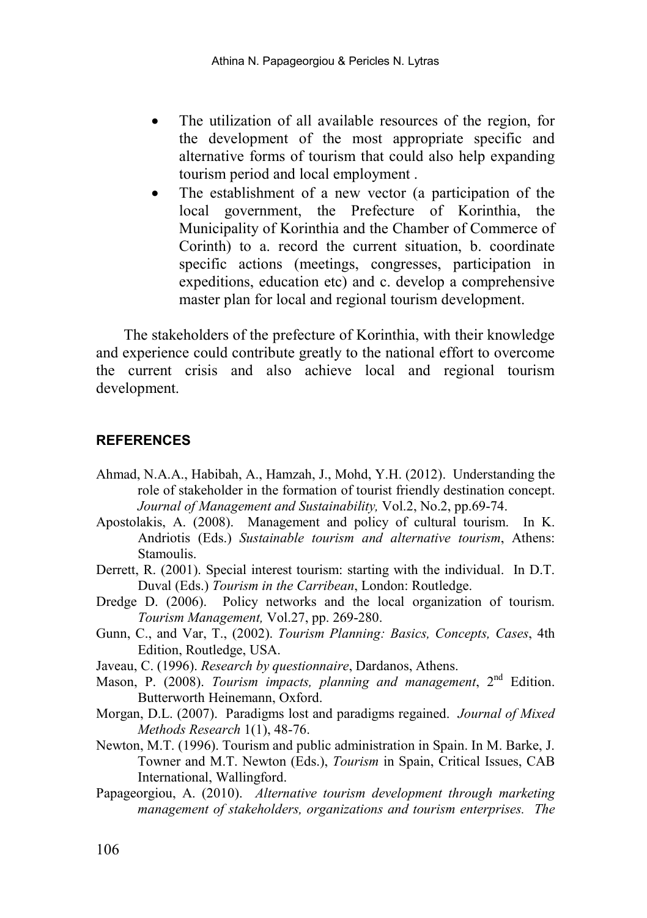- The utilization of all available resources of the region, for the development of the most appropriate specific and alternative forms of tourism that could also help expanding tourism period and local employment .
- The establishment of a new vector (a participation of the local government, the Prefecture of Korinthia, Municipality of Korinthia and the Chamber of Commerce of Corinth) to a. record the current situation, b. coordinate specific actions (meetings, congresses, participation in expeditions, education etc) and c. develop a comprehensive master plan for local and regional tourism development.

The stakeholders of the prefecture of Korinthia, with their knowledge and experience could contribute greatly to the national effort to overcome the current crisis and also achieve local and regional tourism development.

#### **REFERENCES**

- Ahmad, N.A.A., Habibah, A., Hamzah, J., Mohd, Y.H. (2012). Understanding the role of stakeholder in the formation of tourist friendly destination concept. *Journal of Management and Sustainability,* Vol.2, No.2, pp.69-74.
- Apostolakis, A. (2008). Management and policy of cultural tourism. In K. Andriotis (Eds.) *Sustainable tourism and alternative tourism*, Athens: Stamoulis.
- Derrett, R. (2001). Special interest tourism: starting with the individual. In D.T. Duval (Eds.) *Tourism in the Carribean*, London: Routledge.
- Dredge D. (2006). Policy networks and the local organization of tourism. *Tourism Management,* Vol.27, pp. 269-280.
- Gunn, C., and Var, T., (2002). *Tourism Planning: Basics, Concepts, Cases*, 4th Edition, Routledge, USA.
- [Javeau, C.](http://www.politeianet.gr/sygrafeas/javeau-claude-10483) (1996). *Research by questionnaire*, Dardanos, Athens.
- Mason, P. (2008). *Tourism impacts, planning and management*, 2<sup>nd</sup> Edition. Butterworth Heinemann, Oxford.
- Morgan, D.L. (2007). Paradigms lost and paradigms regained. *Journal of Mixed Methods Research* 1(1), 48-76.
- Newton, M.T. (1996). Tourism and public administration in Spain. In M. Barke, J. Towner and M.T. Newton (Eds.), *Tourism* in Spain, Critical Issues, CAB International, Wallingford.
- Papageorgiou, A. (2010). *Alternative tourism development through marketing management of stakeholders, organizations and tourism enterprises. The*